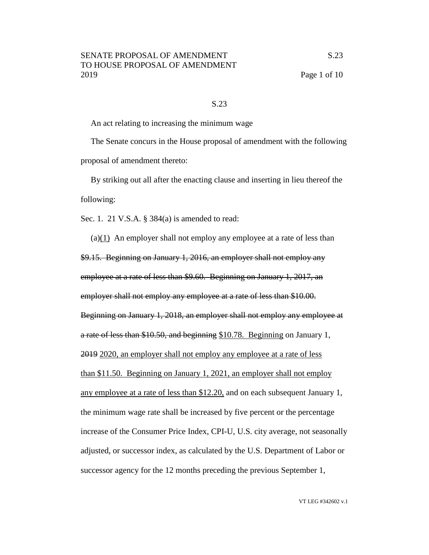#### S.23

An act relating to increasing the minimum wage

The Senate concurs in the House proposal of amendment with the following proposal of amendment thereto:

By striking out all after the enacting clause and inserting in lieu thereof the following:

Sec. 1. 21 V.S.A. § 384(a) is amended to read:

(a)(1) An employer shall not employ any employee at a rate of less than \$9.15. Beginning on January 1, 2016, an employer shall not employ any employee at a rate of less than \$9.60. Beginning on January 1, 2017, an employer shall not employ any employee at a rate of less than \$10.00. Beginning on January 1, 2018, an employer shall not employ any employee at a rate of less than \$10.50, and beginning \$10.78. Beginning on January 1, 2019 2020, an employer shall not employ any employee at a rate of less than \$11.50. Beginning on January 1, 2021, an employer shall not employ any employee at a rate of less than \$12.20, and on each subsequent January 1, the minimum wage rate shall be increased by five percent or the percentage increase of the Consumer Price Index, CPI-U, U.S. city average, not seasonally adjusted, or successor index, as calculated by the U.S. Department of Labor or successor agency for the 12 months preceding the previous September 1,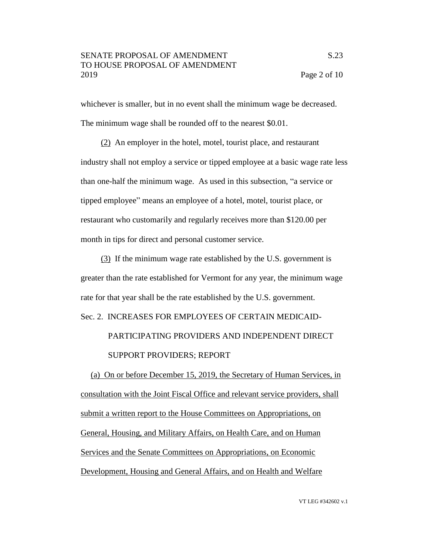whichever is smaller, but in no event shall the minimum wage be decreased. The minimum wage shall be rounded off to the nearest \$0.01.

(2) An employer in the hotel, motel, tourist place, and restaurant industry shall not employ a service or tipped employee at a basic wage rate less than one-half the minimum wage. As used in this subsection, "a service or tipped employee" means an employee of a hotel, motel, tourist place, or restaurant who customarily and regularly receives more than \$120.00 per month in tips for direct and personal customer service.

(3) If the minimum wage rate established by the U.S. government is greater than the rate established for Vermont for any year, the minimum wage rate for that year shall be the rate established by the U.S. government.

Sec. 2. INCREASES FOR EMPLOYEES OF CERTAIN MEDICAID-

 PARTICIPATING PROVIDERS AND INDEPENDENT DIRECT SUPPORT PROVIDERS; REPORT

(a) On or before December 15, 2019, the Secretary of Human Services, in consultation with the Joint Fiscal Office and relevant service providers, shall submit a written report to the House Committees on Appropriations, on General, Housing, and Military Affairs, on Health Care, and on Human Services and the Senate Committees on Appropriations, on Economic Development, Housing and General Affairs, and on Health and Welfare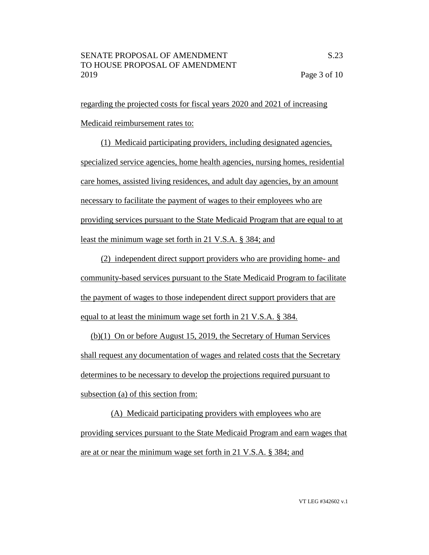regarding the projected costs for fiscal years 2020 and 2021 of increasing Medicaid reimbursement rates to:

(1) Medicaid participating providers, including designated agencies, specialized service agencies, home health agencies, nursing homes, residential care homes, assisted living residences, and adult day agencies, by an amount necessary to facilitate the payment of wages to their employees who are providing services pursuant to the State Medicaid Program that are equal to at least the minimum wage set forth in 21 V.S.A. § 384; and

(2) independent direct support providers who are providing home- and community-based services pursuant to the State Medicaid Program to facilitate the payment of wages to those independent direct support providers that are equal to at least the minimum wage set forth in 21 V.S.A. § 384.

(b)(1) On or before August 15, 2019, the Secretary of Human Services shall request any documentation of wages and related costs that the Secretary determines to be necessary to develop the projections required pursuant to subsection (a) of this section from:

(A) Medicaid participating providers with employees who are providing services pursuant to the State Medicaid Program and earn wages that are at or near the minimum wage set forth in 21 V.S.A. § 384; and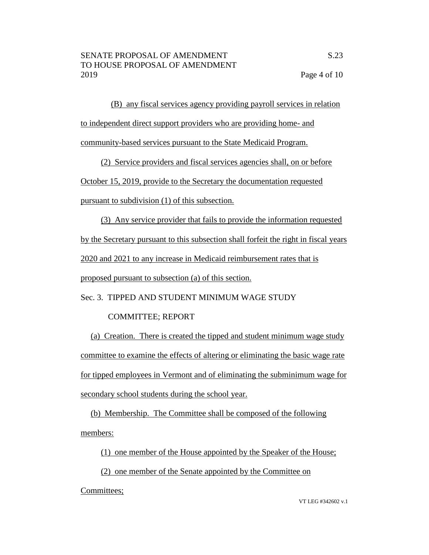(B) any fiscal services agency providing payroll services in relation to independent direct support providers who are providing home- and community-based services pursuant to the State Medicaid Program.

(2) Service providers and fiscal services agencies shall, on or before

October 15, 2019, provide to the Secretary the documentation requested

pursuant to subdivision (1) of this subsection.

(3) Any service provider that fails to provide the information requested

by the Secretary pursuant to this subsection shall forfeit the right in fiscal years

2020 and 2021 to any increase in Medicaid reimbursement rates that is

proposed pursuant to subsection (a) of this section.

Sec. 3. TIPPED AND STUDENT MINIMUM WAGE STUDY

## COMMITTEE; REPORT

(a) Creation. There is created the tipped and student minimum wage study committee to examine the effects of altering or eliminating the basic wage rate for tipped employees in Vermont and of eliminating the subminimum wage for secondary school students during the school year.

(b) Membership. The Committee shall be composed of the following members:

(1) one member of the House appointed by the Speaker of the House;

(2) one member of the Senate appointed by the Committee on

Committees;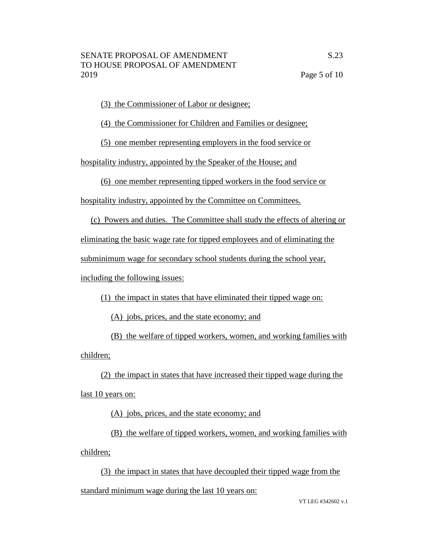(3) the Commissioner of Labor or designee;

(4) the Commissioner for Children and Families or designee;

(5) one member representing employers in the food service or

hospitality industry, appointed by the Speaker of the House; and

(6) one member representing tipped workers in the food service or

hospitality industry, appointed by the Committee on Committees.

(c) Powers and duties. The Committee shall study the effects of altering or

eliminating the basic wage rate for tipped employees and of eliminating the

subminimum wage for secondary school students during the school year,

including the following issues:

(1) the impact in states that have eliminated their tipped wage on:

(A) jobs, prices, and the state economy; and

(B) the welfare of tipped workers, women, and working families with children;

(2) the impact in states that have increased their tipped wage during the last 10 years on:

(A) jobs, prices, and the state economy; and

(B) the welfare of tipped workers, women, and working families with children;

(3) the impact in states that have decoupled their tipped wage from the standard minimum wage during the last 10 years on: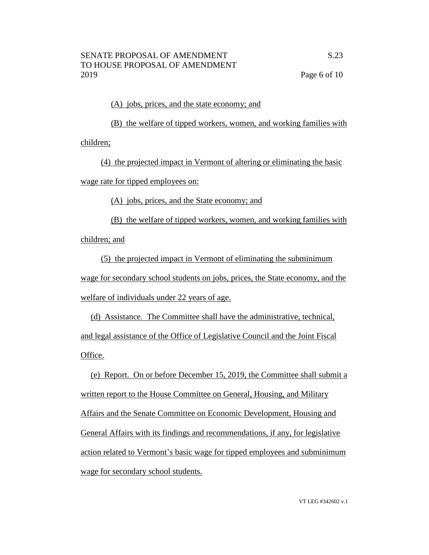#### (A) jobs, prices, and the state economy; and

(B) the welfare of tipped workers, women, and working families with children;

(4) the projected impact in Vermont of altering or eliminating the basic wage rate for tipped employees on:

(A) jobs, prices, and the State economy; and

(B) the welfare of tipped workers, women, and working families with children; and

(5) the projected impact in Vermont of eliminating the subminimum wage for secondary school students on jobs, prices, the State economy, and the welfare of individuals under 22 years of age.

(d) Assistance. The Committee shall have the administrative, technical, and legal assistance of the Office of Legislative Council and the Joint Fiscal Office.

(e) Report. On or before December 15, 2019, the Committee shall submit a written report to the House Committee on General, Housing, and Military Affairs and the Senate Committee on Economic Development, Housing and General Affairs with its findings and recommendations, if any, for legislative action related to Vermont's basic wage for tipped employees and subminimum wage for secondary school students.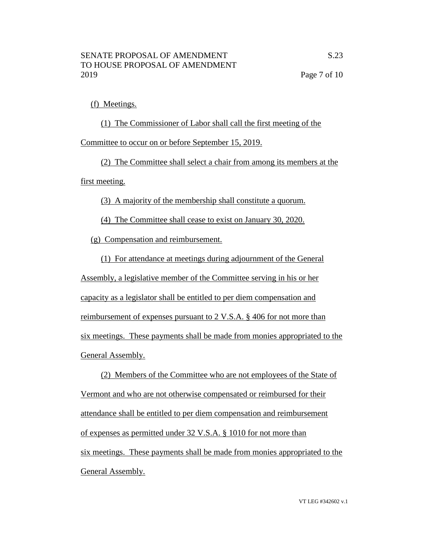# (f) Meetings.

(1) The Commissioner of Labor shall call the first meeting of the Committee to occur on or before September 15, 2019.

(2) The Committee shall select a chair from among its members at the first meeting.

(3) A majority of the membership shall constitute a quorum.

(4) The Committee shall cease to exist on January 30, 2020.

(g) Compensation and reimbursement.

(1) For attendance at meetings during adjournment of the General Assembly, a legislative member of the Committee serving in his or her capacity as a legislator shall be entitled to per diem compensation and reimbursement of expenses pursuant to 2 V.S.A. § 406 for not more than six meetings. These payments shall be made from monies appropriated to the General Assembly.

(2) Members of the Committee who are not employees of the State of Vermont and who are not otherwise compensated or reimbursed for their attendance shall be entitled to per diem compensation and reimbursement of expenses as permitted under 32 V.S.A. § 1010 for not more than six meetings. These payments shall be made from monies appropriated to the General Assembly.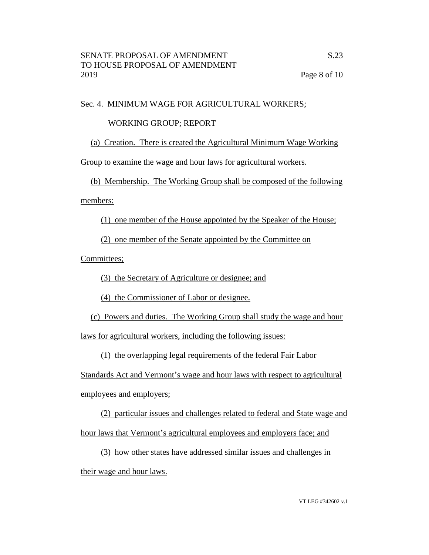## Sec. 4. MINIMUM WAGE FOR AGRICULTURAL WORKERS;

# WORKING GROUP; REPORT

(a) Creation. There is created the Agricultural Minimum Wage Working

Group to examine the wage and hour laws for agricultural workers.

(b) Membership. The Working Group shall be composed of the following

members:

(1) one member of the House appointed by the Speaker of the House;

(2) one member of the Senate appointed by the Committee on

Committees;

(3) the Secretary of Agriculture or designee; and

(4) the Commissioner of Labor or designee.

(c) Powers and duties. The Working Group shall study the wage and hour

laws for agricultural workers, including the following issues:

(1) the overlapping legal requirements of the federal Fair Labor

Standards Act and Vermont's wage and hour laws with respect to agricultural

employees and employers;

(2) particular issues and challenges related to federal and State wage and

hour laws that Vermont's agricultural employees and employers face; and

(3) how other states have addressed similar issues and challenges in their wage and hour laws.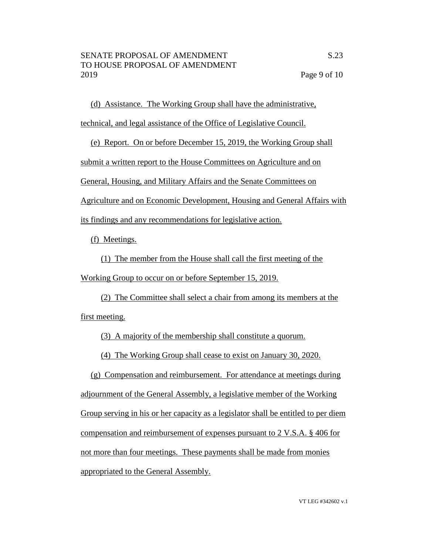(d) Assistance. The Working Group shall have the administrative,

technical, and legal assistance of the Office of Legislative Council.

(e) Report. On or before December 15, 2019, the Working Group shall

submit a written report to the House Committees on Agriculture and on

General, Housing, and Military Affairs and the Senate Committees on

Agriculture and on Economic Development, Housing and General Affairs with

its findings and any recommendations for legislative action.

(f) Meetings.

(1) The member from the House shall call the first meeting of the Working Group to occur on or before September 15, 2019.

(2) The Committee shall select a chair from among its members at the first meeting.

(3) A majority of the membership shall constitute a quorum.

(4) The Working Group shall cease to exist on January 30, 2020.

(g) Compensation and reimbursement. For attendance at meetings during adjournment of the General Assembly, a legislative member of the Working Group serving in his or her capacity as a legislator shall be entitled to per diem compensation and reimbursement of expenses pursuant to 2 V.S.A. § 406 for not more than four meetings. These payments shall be made from monies appropriated to the General Assembly.